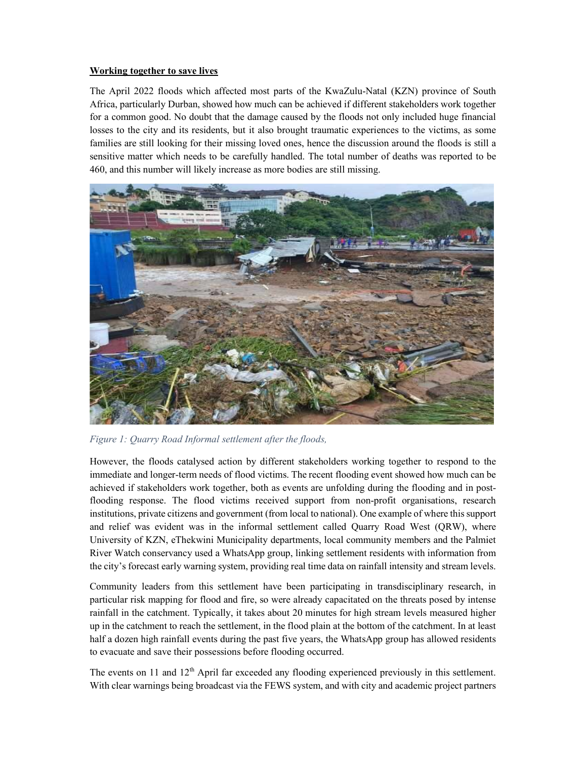## Working together to save lives

The April 2022 floods which affected most parts of the KwaZulu-Natal (KZN) province of South Africa, particularly Durban, showed how much can be achieved if different stakeholders work together for a common good. No doubt that the damage caused by the floods not only included huge financial losses to the city and its residents, but it also brought traumatic experiences to the victims, as some families are still looking for their missing loved ones, hence the discussion around the floods is still a sensitive matter which needs to be carefully handled. The total number of deaths was reported to be 460, and this number will likely increase as more bodies are still missing.



Figure 1: Quarry Road Informal settlement after the floods,

However, the floods catalysed action by different stakeholders working together to respond to the immediate and longer-term needs of flood victims. The recent flooding event showed how much can be achieved if stakeholders work together, both as events are unfolding during the flooding and in postflooding response. The flood victims received support from non-profit organisations, research institutions, private citizens and government (from local to national). One example of where this support and relief was evident was in the informal settlement called Quarry Road West (QRW), where University of KZN, eThekwini Municipality departments, local community members and the Palmiet River Watch conservancy used a WhatsApp group, linking settlement residents with information from the city's forecast early warning system, providing real time data on rainfall intensity and stream levels.

Community leaders from this settlement have been participating in transdisciplinary research, in particular risk mapping for flood and fire, so were already capacitated on the threats posed by intense rainfall in the catchment. Typically, it takes about 20 minutes for high stream levels measured higher up in the catchment to reach the settlement, in the flood plain at the bottom of the catchment. In at least half a dozen high rainfall events during the past five years, the WhatsApp group has allowed residents to evacuate and save their possessions before flooding occurred.

The events on 11 and 12<sup>th</sup> April far exceeded any flooding experienced previously in this settlement. With clear warnings being broadcast via the FEWS system, and with city and academic project partners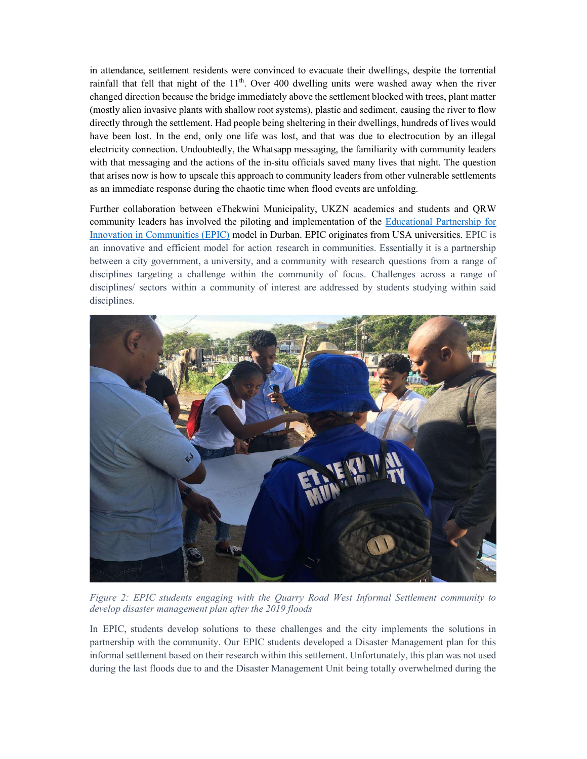in attendance, settlement residents were convinced to evacuate their dwellings, despite the torrential rainfall that fell that night of the  $11<sup>th</sup>$ . Over 400 dwelling units were washed away when the river changed direction because the bridge immediately above the settlement blocked with trees, plant matter (mostly alien invasive plants with shallow root systems), plastic and sediment, causing the river to flow directly through the settlement. Had people being sheltering in their dwellings, hundreds of lives would have been lost. In the end, only one life was lost, and that was due to electrocution by an illegal electricity connection. Undoubtedly, the Whatsapp messaging, the familiarity with community leaders with that messaging and the actions of the in-situ officials saved many lives that night. The question that arises now is how to upscale this approach to community leaders from other vulnerable settlements as an immediate response during the chaotic time when flood events are unfolding.

Further collaboration between eThekwini Municipality, UKZN academics and students and QRW community leaders has involved the piloting and implementation of the Educational Partnership for Innovation in Communities (EPIC) model in Durban. EPIC originates from USA universities. EPIC is an innovative and efficient model for action research in communities. Essentially it is a partnership between a city government, a university, and a community with research questions from a range of disciplines targeting a challenge within the community of focus. Challenges across a range of disciplines/ sectors within a community of interest are addressed by students studying within said disciplines.



Figure 2: EPIC students engaging with the Quarry Road West Informal Settlement community to develop disaster management plan after the 2019 floods

In EPIC, students develop solutions to these challenges and the city implements the solutions in partnership with the community. Our EPIC students developed a Disaster Management plan for this informal settlement based on their research within this settlement. Unfortunately, this plan was not used during the last floods due to and the Disaster Management Unit being totally overwhelmed during the